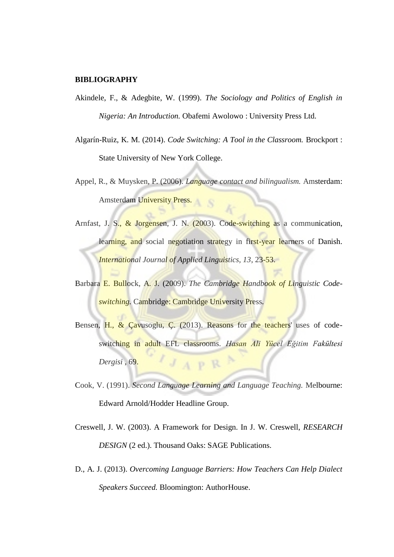## **BIBLIOGRAPHY**

- Akindele, F., & Adegbite, W. (1999). *The Sociology and Politics of English in Nigeria: An Introduction.* Obafemi Awolowo : University Press Ltd.
- Algarín-Ruiz, K. M. (2014). *Code Switching: A Tool in the Classroom.* Brockport : State University of New York College.
- Appel, R., & Muysken, P. (2006). *Language contact and bilingualism.* Amsterdam: Amsterdam University Press.
- Arnfast, J. S., & Jorgensen, J. N. (2003). Code-switching as a communication, learning, and social negotiation strategy in first-year learners of Danish. *International Journal of Applied Linguistics, 13*, 23-53.
- Barbara E. Bullock, A. J. (2009). *The Cambridge Handbook of Linguistic Codeswitching.* Cambridge: Cambridge University Press.
- Bensen, H., & Çavusoglu, Ç. (2013). Reasons for the teachers' uses of codeswitching in adult EFL classrooms. *Hasan Ali Yücel Eğitim Fakültesi Dergisi* , 69.  $A$   $P$   $R$
- Cook, V. (1991). *Second Language Learning and Language Teaching.* Melbourne: Edward Arnold/Hodder Headline Group.
- Creswell, J. W. (2003). A Framework for Design. In J. W. Creswell, *RESEARCH DESIGN* (2 ed.). Thousand Oaks: SAGE Publications.
- D., A. J. (2013). *Overcoming Language Barriers: How Teachers Can Help Dialect Speakers Succeed.* Bloomington: AuthorHouse.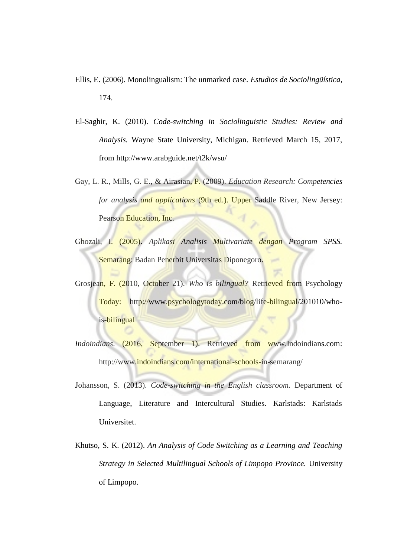- Ellis, E. (2006). Monolingualism: The unmarked case. *Estudios de Sociolingüística*, 174.
- El-Saghir, K. (2010). *Code-switching in Sociolinguistic Studies: Review and Analysis.* Wayne State University, Michigan. Retrieved March 15, 2017, from http://www.arabguide.net/t2k/wsu/
- Gay, L. R., Mills, G. E., & Airasian, P. (2009). *Education Research: Competencies for analysis and applications* (9th ed.). Upper Saddle River, New Jersey: Pearson Education, Inc.
- Ghozali, I. (2005). *Aplikasi Analisis Multivariate dengan Program SPSS.* Semarang: Badan Penerbit Universitas Diponegoro.
- Grosjean, F. (2010, October 21). *Who is bilingual?* Retrieved from Psychology Today: http://www.psychologytoday.com/blog/life-bilingual/201010/whois-bilingual
- *Indoindians.* (2016, September 1). Retrieved from www.Indoindians.com: http://www.indoindians.com/international-schools-in-semarang/
- Johansson, S. (2013). *Code-switching in the English classroom.* Department of Language, Literature and Intercultural Studies. Karlstads: Karlstads Universitet.
- Khutso, S. K. (2012). *An Analysis of Code Switching as a Learning and Teaching Strategy in Selected Multilingual Schools of Limpopo Province.* University of Limpopo.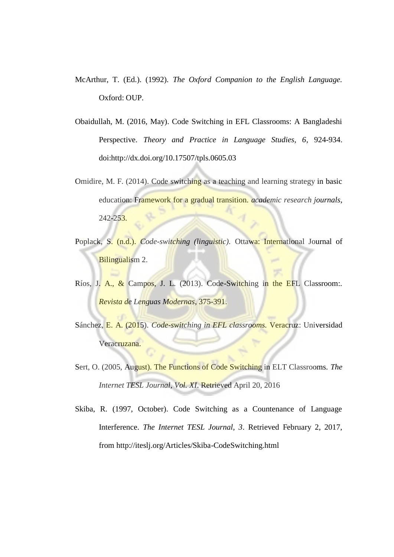- McArthur, T. (Ed.). (1992). *The Oxford Companion to the English Language.* Oxford: OUP.
- Obaidullah, M. (2016, May). Code Switching in EFL Classrooms: A Bangladeshi Perspective. *Theory and Practice in Language Studies, 6*, 924-934. doi:http://dx.doi.org/10.17507/tpls.0605.03
- Omidire, M. F. (2014). Code switching as a teaching and learning strategy in basic education: Framework for a gradual transition. *academic research journals*, 242-253.
- Poplack, S. (n.d.). *Code-switching (linguistic).* Ottawa: International Journal of Bilingualism 2.
- Ríos, J. A., & Campos, J. L. (2013). Code-Switching in the EFL Classroom:. *Revista de Lenguas Modernas*, 375-391.
- Sánchez, E. A. (2015). *Code-switching in EFL classrooms.* Veracruz: Universidad Veracruzana.
- Sert, O. (2005, August). The Functions of Code Switching in ELT Classrooms. *The Internet TESL Journal, Vol. XI*. Retrieved April 20, 2016
- Skiba, R. (1997, October). Code Switching as a Countenance of Language Interference. *The Internet TESL Journal, 3*. Retrieved February 2, 2017, from http://iteslj.org/Articles/Skiba-CodeSwitching.html